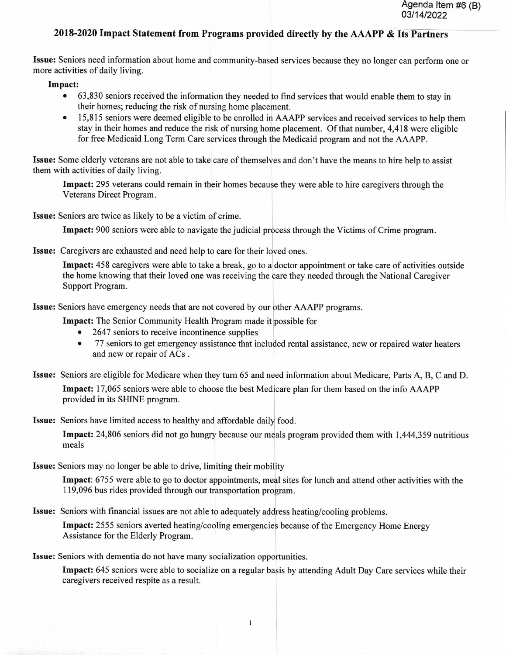## **20 18-2020 Impact Statement from Programs provided directly by the AAAPP** & **Its Partners**

**Issue:** Seniors need information about home and community-based services because they no longer can perform one or more activities of daily living.

**Impact:** 

- 63,830 seniors received the information they needed to find services that would enable them to stay in their homes; reducing the risk of nursing home placement.
- 15,815 seniors were deemed eligible to be enrolled in AAAPP services and received services to help them stay in their homes and reduce the risk of nursing home placement. Of that number, 4,418 were eligible for free Medicaid Long Term Care services through the Medicaid program and not the AAAPP.

**Issue:** Some elderly veterans are not able to take care of themselves and don't have the means to hire help to assist them with activities of daily living.

**Impact:** *295* veterans could remain in their homes because they were able to hire caregivers through the Veterans Direct Program.

**Issue:** Seniors are twice as likely to be a victim of crime.

**Impact:** 900 seniors were able to navigate the judicial process through the Victims of Crime program.

**Issue:** Caregivers are exhausted and need help to care for their loved ones.

**Impact:** 458 caregivers were able to take a break, go to a doctor appointment or take care of activities outside the home knowing that their loved one was receiving the care they needed through the National Caregiver Support Program.

**Issue:** Seniors have emergency needs that are not covered by our other AAAPP programs.

**Impact:** The Senior Community Health Program made it possible for

- 2647 seniors to receive incontinence supplies
- 77 seniors to get emergency assistance that included rental assistance, new or repaired water heaters and new or repair of ACs.

**Issue:** Seniors are eligible for Medicare when they turn 65 and need information about Medicare, Parts A, B, C and D.

**Impact:** 17,065 seniors were able to choose the best Medicare plan for them based on the info AAAPP provided in its SHINE program.

**Issue:** Seniors have limited access to healthy and affordable daily food.

**Impact:** 24,806 seniors did not go hungry because our meals program provided them with 1,444,359 nutritious meals

**Issue:** Seniors may no longer be able to drive, limiting their mobility

**Impact:** 6755 were able to go to doctor appointments, meal sites for lunch and attend other activities with the 119,096 bus rides provided through our transportation program.

**Issue:** Seniors with financial issues are not able to adequately address heating/cooling problems.

**Impact:** 2555 seniors averted heating/cooling emergencies because of the Emergency Home Energy Assistance for the Elderly Program.

**Issue:** Seniors with dementia do not have many socialization opportunities.

**Impact:** 645 seniors were able to socialize on a regular basis by attending Adult Day Care services while their caregivers received respite as a result.